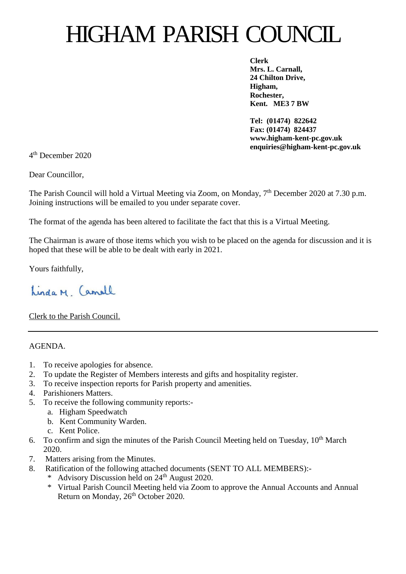## HIGHAM PARISH COUNCIL

**Clerk Mrs. L. Carnall, 24 Chilton Drive, Higham, Rochester, Kent. ME3 7 BW**

**Tel: (01474) 822642 Fax: (01474) 824437 www.higham-kent-pc.gov.uk enquiries@higham-kent-pc.gov.uk**

4 th December 2020

Dear Councillor,

The Parish Council will hold a Virtual Meeting via Zoom, on Monday, 7<sup>th</sup> December 2020 at 7.30 p.m. Joining instructions will be emailed to you under separate cover.

The format of the agenda has been altered to facilitate the fact that this is a Virtual Meeting.

The Chairman is aware of those items which you wish to be placed on the agenda for discussion and it is hoped that these will be able to be dealt with early in 2021.

Yours faithfully,

Linda M Camell

Clerk to the Parish Council.

AGENDA.

- 1. To receive apologies for absence.
- 2. To update the Register of Members interests and gifts and hospitality register.
- 3. To receive inspection reports for Parish property and amenities.
- 4. Parishioners Matters.
- 5. To receive the following community reports:
	- a. Higham Speedwatch
	- b. Kent Community Warden.
	- c. Kent Police.
- 6. To confirm and sign the minutes of the Parish Council Meeting held on Tuesday,  $10^{th}$  March 2020.
- 7. Matters arising from the Minutes.
- 8. Ratification of the following attached documents (SENT TO ALL MEMBERS):-
	- \* Advisory Discussion held on 24th August 2020.
	- \* Virtual Parish Council Meeting held via Zoom to approve the Annual Accounts and Annual Return on Monday, 26<sup>th</sup> October 2020.